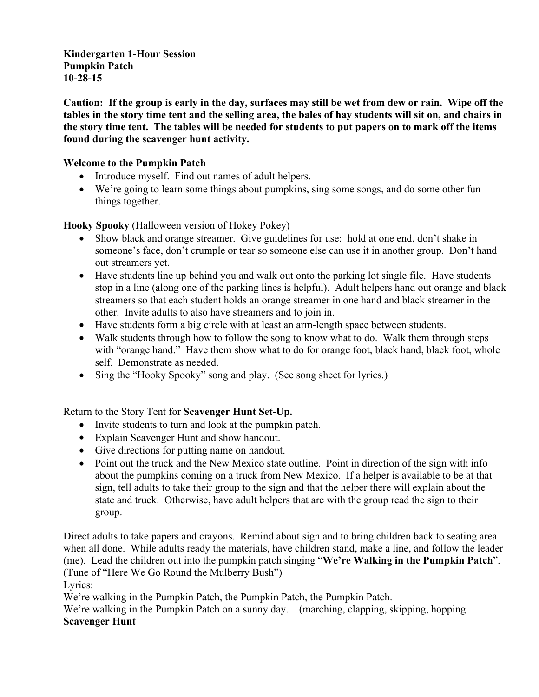**Kindergarten 1-Hour Session Pumpkin Patch 102815**

**Caution: If the group is early in the day, surfaces may still be wet from dew or rain. Wipe off the tables in the story time tent and the selling area, the bales of hay students will sit on, and chairs in the story time tent. The tables will be needed for students to put papers on to mark off the items found during the scavenger hunt activity.**

#### **Welcome to the Pumpkin Patch**

- Introduce myself. Find out names of adult helpers.
- We're going to learn some things about pumpkins, sing some songs, and do some other fun things together.

**Hooky Spooky** (Halloween version of Hokey Pokey)

- Show black and orange streamer. Give guidelines for use: hold at one end, don't shake in someone's face, don't crumple or tear so someone else can use it in another group. Don't hand out streamers yet.
- Have students line up behind you and walk out onto the parking lot single file. Have students stop in a line (along one of the parking lines is helpful). Adult helpers hand out orange and black streamers so that each student holds an orange streamer in one hand and black streamer in the other. Invite adults to also have streamers and to join in.
- Have students form a big circle with at least an armlength space between students.
- Walk students through how to follow the song to know what to do. Walk them through steps with "orange hand." Have them show what to do for orange foot, black hand, black foot, whole self. Demonstrate as needed.
- Sing the "Hooky Spooky" song and play. (See song sheet for lyrics.)

Return to the Story Tent for **Scavenger Hunt Set-Up.** 

- Invite students to turn and look at the pumpkin patch.
- Explain Scavenger Hunt and show handout.
- Give directions for putting name on handout.
- Point out the truck and the New Mexico state outline. Point in direction of the sign with info about the pumpkins coming on a truck from New Mexico. If a helper is available to be at that sign, tell adults to take their group to the sign and that the helper there will explain about the state and truck. Otherwise, have adult helpers that are with the group read the sign to their group.

Direct adults to take papers and crayons. Remind about sign and to bring children back to seating area when all done. While adults ready the materials, have children stand, make a line, and follow the leader (me). Lead the children out into the pumpkin patch singing "**We're Walking in the Pumpkin Patch**". (Tune of "Here We Go Round the Mulberry Bush")

Lyrics:

We're walking in the Pumpkin Patch, the Pumpkin Patch, the Pumpkin Patch.

We're walking in the Pumpkin Patch on a sunny day. (marching, clapping, skipping, hopping **Scavenger Hunt**